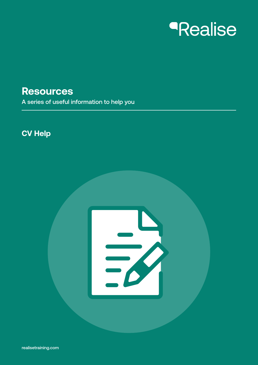# *<u>Realise</u>*

### **Resources**

A series of useful information to help you

### **CV Help**

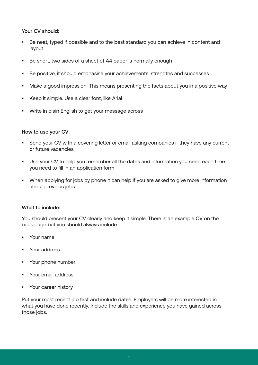#### Your CV should:

- Be neat, typed if possible and to the best standard you can achieve in content and layout
- Be short, two sides of a sheet of A4 paper is normally enough
- Be positive, it should emphasise your achievements, strengths and successes
- Make a good impression. This means presenting the facts about you in a positive way
- Keep it simple. Use a clear font, like Arial
- Write in plain English to get your message across

#### How to use your CV

- Send your CV with a covering letter or email asking companies if they have any current or future vacancies
- Use your CV to help you remember all the dates and information you need each time you need to fill in an application form
- When applying for jobs by phone it can help if you are asked to give more information about previous jobs

#### What to include:

You should present your CV clearly and keep it simple. There is an example CV on the back page but you should always include:

- Your name
- Your address
- Your phone number
- Your email address
- Your career history

Put your most recent job first and include dates. Employers will be more interested in what you have done recently. Include the skills and experience you have gained across those jobs.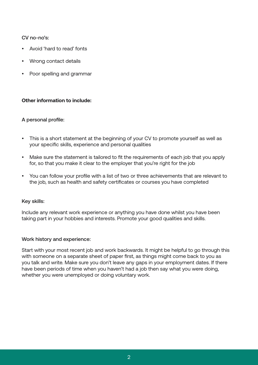#### CV no-no's:

- Avoid 'hard to read' fonts
- Wrong contact details
- Poor spelling and grammar

#### **Other information to include:**

#### A personal profile:

- This is a short statement at the beginning of your CV to promote yourself as well as your specific skills, experience and personal qualities
- Make sure the statement is tailored to fit the requirements of each job that you apply for, so that you make it clear to the employer that you're right for the job
- You can follow your profile with a list of two or three achievements that are relevant to the job, such as health and safety certificates or courses you have completed

#### Key skills:

Include any relevant work experience or anything you have done whilst you have been taking part in your hobbies and interests. Promote your good qualities and skills.

#### Work history and experience:

Start with your most recent job and work backwards. It might be helpful to go through this with someone on a separate sheet of paper first, as things might come back to you as you talk and write. Make sure you don't leave any gaps in your employment dates. If there have been periods of time when you haven't had a job then say what you were doing, whether you were unemployed or doing voluntary work.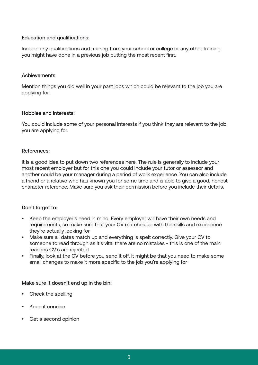#### Education and qualifications:

Include any qualifications and training from your school or college or any other training you might have done in a previous job putting the most recent first.

#### Achievements:

Mention things you did well in your past jobs which could be relevant to the job you are applying for.

#### Hobbies and interests:

You could include some of your personal interests if you think they are relevant to the job you are applying for.

#### References:

It is a good idea to put down two references here. The rule is generally to include your most recent employer but for this one you could include your tutor or assessor and another could be your manager during a period of work experience. You can also include a friend or a relative who has known you for some time and is able to give a good, honest character reference. Make sure you ask their permission before you include their details.

#### Don't forget to:

- Keep the employer's need in mind. Every employer will have their own needs and requirements, so make sure that your CV matches up with the skills and experience they're actually looking for
- Make sure all dates match up and everything is spelt correctly. Give your CV to someone to read through as it's vital there are no mistakes - this is one of the main reasons CV's are rejected
- Finally, look at the CV before you send it off. It might be that you need to make some small changes to make it more specific to the job you're applying for

#### Make sure it doesn't end up in the bin:

- Check the spelling
- Keep it concise
- Get a second opinion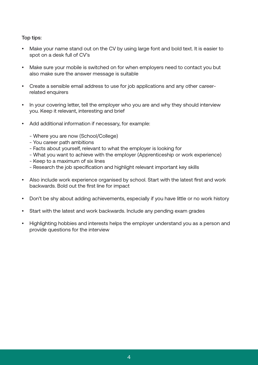#### Top tips:

- Make your name stand out on the CV by using large font and bold text. It is easier to spot on a desk full of CV's
- Make sure your mobile is switched on for when employers need to contact you but also make sure the answer message is suitable
- Create a sensible email address to use for job applications and any other careerrelated enquirers
- In your covering letter, tell the employer who you are and why they should interview you. Keep it relevant, interesting and brief
- Add additional information if necessary, for example:
	- Where you are now (School/College)
	- You career path ambitions
	- Facts about yourself, relevant to what the employer is looking for
	- What you want to achieve with the employer (Apprenticeship or work experience)
	- Keep to a maximum of six lines
	- Research the job specification and highlight relevant important key skills
- Also include work experience organised by school. Start with the latest first and work backwards. Bold out the first line for impact
- Don't be shy about adding achievements, especially if you have little or no work history
- Start with the latest and work backwards. Include any pending exam grades
- Highlighting hobbies and interests helps the employer understand you as a person and provide questions for the interview